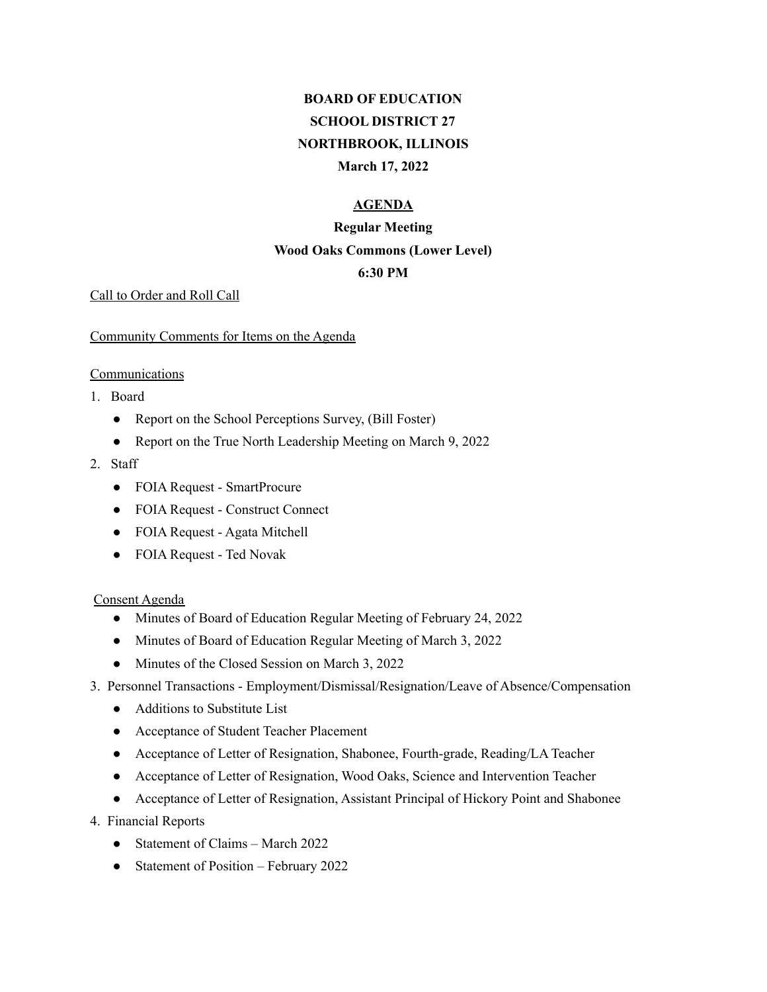# **BOARD OF EDUCATION SCHOOL DISTRICT 27 NORTHBROOK, ILLINOIS March 17, 2022**

### **AGENDA**

# **Regular Meeting Wood Oaks Commons (Lower Level)**

# **6:30 PM**

#### Call to Order and Roll Call

#### Community Comments for Items on the Agenda

#### Communications

- 1. Board
	- Report on the School Perceptions Survey, (Bill Foster)
	- Report on the True North Leadership Meeting on March 9, 2022
- 2. Staff
	- FOIA Request SmartProcure
	- FOIA Request Construct Connect
	- FOIA Request Agata Mitchell
	- FOIA Request Ted Novak

#### Consent Agenda

- Minutes of Board of Education Regular Meeting of February 24, 2022
- Minutes of Board of Education Regular Meeting of March 3, 2022
- Minutes of the Closed Session on March 3, 2022
- 3. Personnel Transactions Employment/Dismissal/Resignation/Leave of Absence/Compensation
	- Additions to Substitute List
	- Acceptance of Student Teacher Placement
	- Acceptance of Letter of Resignation, Shabonee, Fourth-grade, Reading/LA Teacher
	- Acceptance of Letter of Resignation, Wood Oaks, Science and Intervention Teacher
	- Acceptance of Letter of Resignation, Assistant Principal of Hickory Point and Shabonee
- 4. Financial Reports
	- Statement of Claims March 2022
	- Statement of Position February 2022